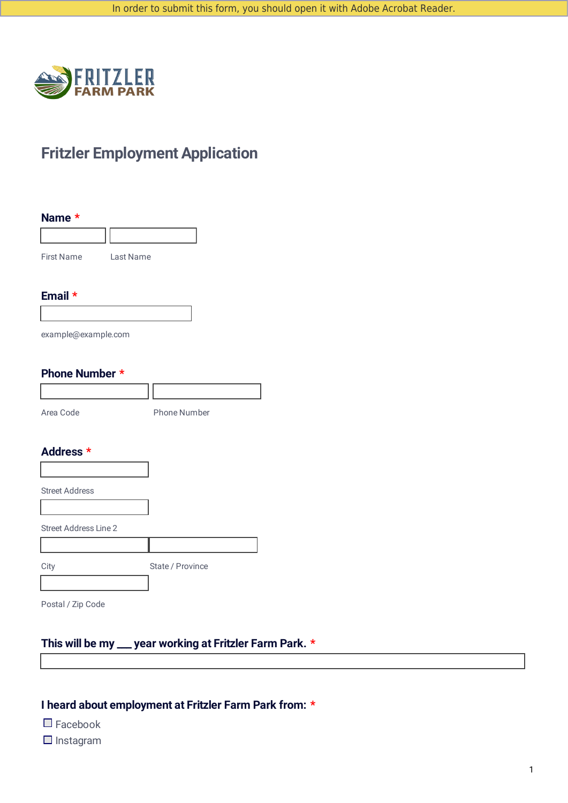

# **Fritzler Employment Application**

| Name $*$          |           |  |
|-------------------|-----------|--|
|                   |           |  |
| <b>First Name</b> | Last Name |  |

#### **Email \***

example@example.com

### **Phone Number \***

| Area Code | <b>Phone Number</b> |
|-----------|---------------------|

#### **Address \***

| <b>Street Address</b>        |                  |
|------------------------------|------------------|
|                              |                  |
| <b>Street Address Line 2</b> |                  |
|                              |                  |
| City                         | State / Province |
|                              |                  |
|                              |                  |

Postal / Zip Code

# **This will be my \_\_\_ year working at Fritzler Farm Park. \***

### **I heard about employment at Fritzler Farm Park from: \***

- $\Box$  Facebook
- $\Box$  Instagram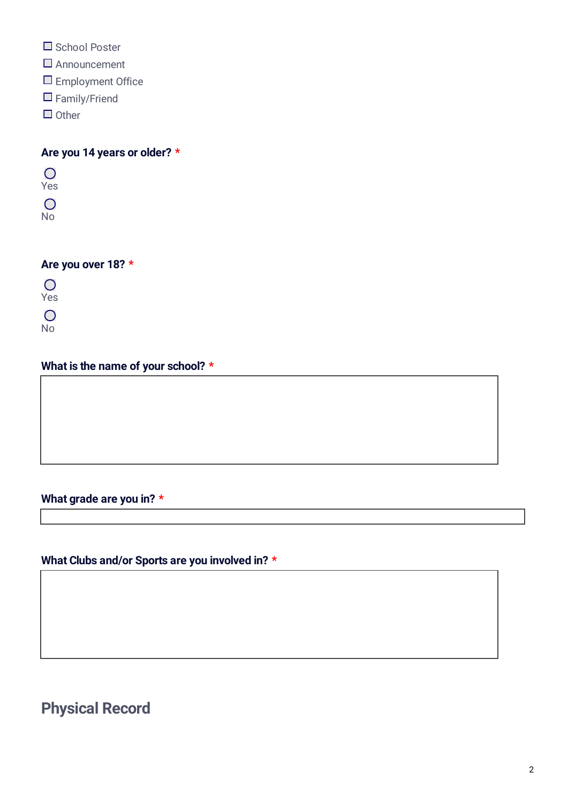- School Poster
- □ Announcement
- **Employment Office**
- □ Family/Friend
- $\Box$  Other

**Are you 14 years or older? \***

 $\overline{O}$ Yes  $\overline{O}$ No

## **Are you over 18? \***

 $\overline{O}$ Yes  $\overline{O}$ No

# **What is the name of your school? \***

## **What grade are you in? \***

# **What Clubs and/or Sports are you involved in? \***

**Physical Record**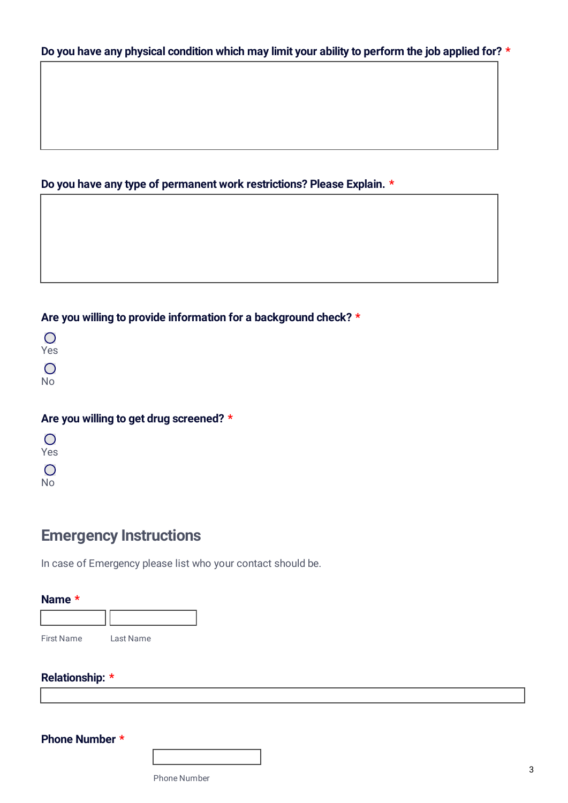## **Do you have any type of permanent work restrictions? Please Explain. \***

## **Are you willing to provide information for a background check? \***

## **Are you willing to get drug screened? \***

| $\Box$ |
|--------|
| Yes    |
| $\Box$ |
| N<br>Ò |

# **Emergency Instructions**

In case of Emergency please list who your contact should be.

| <b>First Name</b> | Last Name |
|-------------------|-----------|

| <b>Relationship: *</b> |  |
|------------------------|--|
|------------------------|--|

**Phone Number \***

Phone Number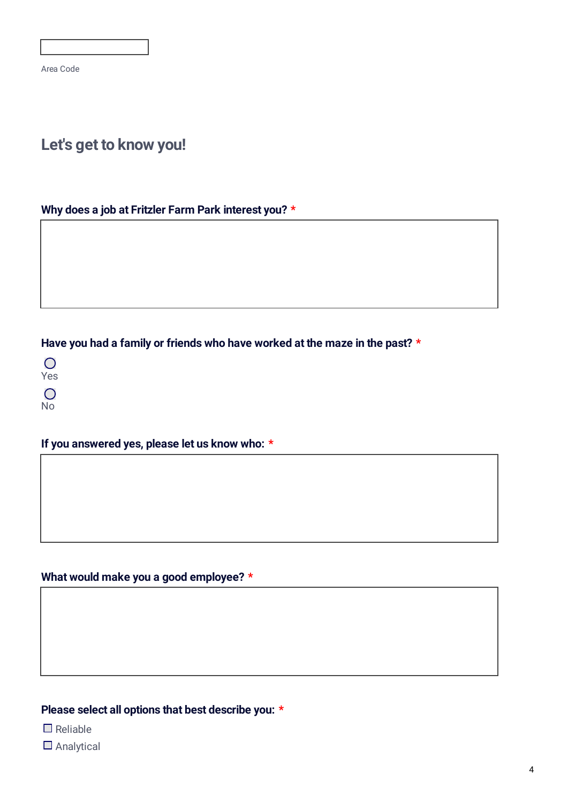Area Code

# **Let's get to know you!**

### **Why does a job at Fritzler Farm Park interest you? \***

## **Have you had a family or friends who have worked at the maze in the past? \***

 $\overline{O}$ Yes  $\bigcirc$ 

No

## **If you answered yes, please let us know who: \***

## **What would make you a good employee? \***

## **Please select all options that best describe you: \***

 $\Box$  Reliable

□ Analytical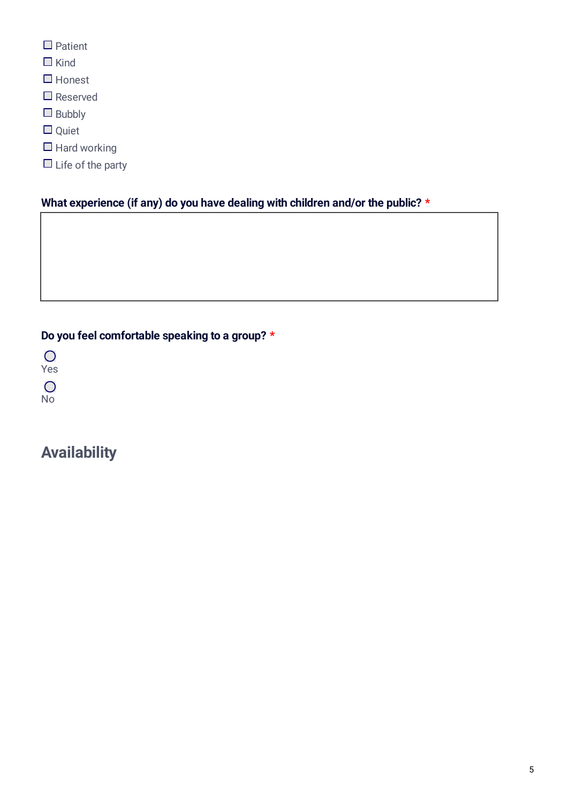- $\Box$  Patient
- $\Box$  Kind
- $\Box$  Honest
- □ Reserved
- $\Box$  Bubbly
- Quiet
- $\Box$  Hard working
- $\Box$  Life of the party

## **What experience (if any) do you have dealing with children and/or the public? \***

# **Do you feel comfortable speaking to a group? \***

 $\overline{O}$ Yes  $\overline{O}$ No

# **Availability**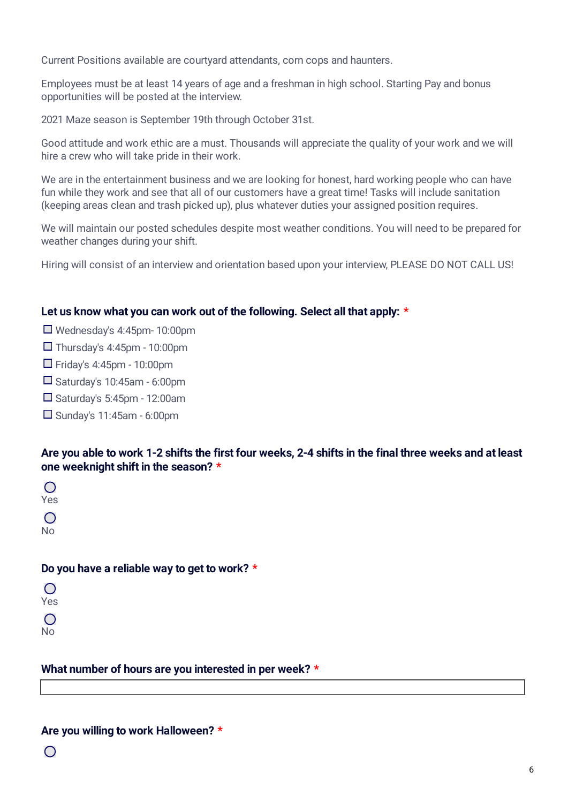Current Positions available are courtyard attendants, corn cops and haunters.

Employees must be at least 14 years of age and a freshman in high school. Starting Pay and bonus opportunities will be posted at the interview.

2021 Maze season is September 19th through October 31st.

Good attitude and work ethic are a must. Thousands will appreciate the quality of your work and we will hire a crew who will take pride in their work.

We are in the entertainment business and we are looking for honest, hard working people who can have fun while they work and see that all of our customers have a great time! Tasks will include sanitation (keeping areas clean and trash picked up), plus whatever duties your assigned position requires.

We will maintain our posted schedules despite most weather conditions. You will need to be prepared for weather changes during your shift.

Hiring will consist of an interview and orientation based upon your interview, PLEASE DO NOT CALL US!

#### **Let us know what you can work out of the following. Select all that apply: \***

- Wednesday's 4:45pm- 10:00pm
- $\Box$  Thursday's 4:45pm 10:00pm
- $\Box$  Friday's 4:45pm 10:00pm
- $\square$  Saturday's 10:45am 6:00pm
- $\square$  Saturday's 5:45pm 12:00am
- $\square$  Sunday's 11:45am 6:00pm

#### Are you able to work 1-2 shifts the first four weeks, 2-4 shifts in the final three weeks and at least **one weeknight shift in the season? \***

 $\bigcap$ Yes  $\bigcap$ No

#### **Do you have a reliable way to get to work? \***

| $\left( \begin{array}{c} \end{array} \right)$ |
|-----------------------------------------------|
| Yes                                           |
|                                               |
| $\left( \begin{array}{c} \end{array} \right)$ |
| No                                            |
|                                               |

#### **What number of hours are you interested in per week? \***

#### **Are you willing to work Halloween? \***